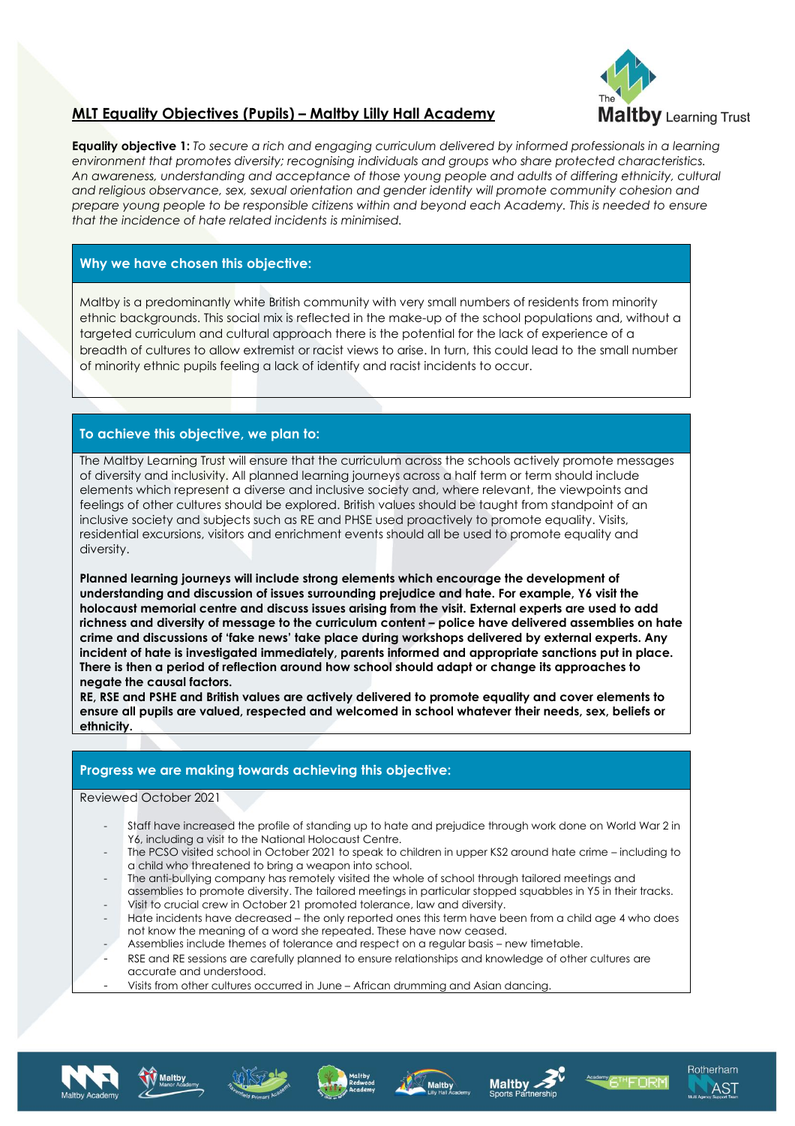

# **MLT Equality Objectives (Pupils) – Maltby Lilly Hall Academy**

**Equality objective 1:** *To secure a rich and engaging curriculum delivered by informed professionals in a learning environment that promotes diversity; recognising individuals and groups who share protected characteristics. An awareness, understanding and acceptance of those young people and adults of differing ethnicity, cultural and religious observance, sex, sexual orientation and gender identity will promote community cohesion and prepare young people to be responsible citizens within and beyond each Academy. This is needed to ensure that the incidence of hate related incidents is minimised.* 

## **Why we have chosen this objective:**

Maltby is a predominantly white British community with very small numbers of residents from minority ethnic backgrounds. This social mix is reflected in the make-up of the school populations and, without a targeted curriculum and cultural approach there is the potential for the lack of experience of a breadth of cultures to allow extremist or racist views to arise. In turn, this could lead to the small number of minority ethnic pupils feeling a lack of identify and racist incidents to occur.

## **To achieve this objective, we plan to:**

The Maltby Learning Trust will ensure that the curriculum across the schools actively promote messages of diversity and inclusivity. All planned learning journeys across a half term or term should include elements which represent a diverse and inclusive society and, where relevant, the viewpoints and feelings of other cultures should be explored. British values should be taught from standpoint of an inclusive society and subjects such as RE and PHSE used proactively to promote equality. Visits, residential excursions, visitors and enrichment events should all be used to promote equality and diversity.

**Planned learning journeys will include strong elements which encourage the development of understanding and discussion of issues surrounding prejudice and hate. For example, Y6 visit the holocaust memorial centre and discuss issues arising from the visit. External experts are used to add richness and diversity of message to the curriculum content – police have delivered assemblies on hate crime and discussions of 'fake news' take place during workshops delivered by external experts. Any incident of hate is investigated immediately, parents informed and appropriate sanctions put in place. There is then a period of reflection around how school should adapt or change its approaches to negate the causal factors.**

**RE, RSE and PSHE and British values are actively delivered to promote equality and cover elements to ensure all pupils are valued, respected and welcomed in school whatever their needs, sex, beliefs or ethnicity.**

# **Progress we are making towards achieving this objective:**

Reviewed October 2021

- Staff have increased the profile of standing up to hate and prejudice through work done on World War 2 in Y6, including a visit to the National Holocaust Centre.
- The PCSO visited school in October 2021 to speak to children in upper KS2 around hate crime including to a child who threatened to bring a weapon into school.
- The anti-bullying company has remotely visited the whole of school through tailored meetings and assemblies to promote diversity. The tailored meetings in particular stopped squabbles in Y5 in their tracks. Visit to crucial crew in October 21 promoted tolerance, law and diversity.
- Hate incidents have decreased the only reported ones this term have been from a child age 4 who does not know the meaning of a word she repeated. These have now ceased.
- Assemblies include themes of tolerance and respect on a regular basis new timetable.
- RSE and RE sessions are carefully planned to ensure relationships and knowledge of other cultures are accurate and understood.
- Visits from other cultures occurred in June African drumming and Asian dancing.













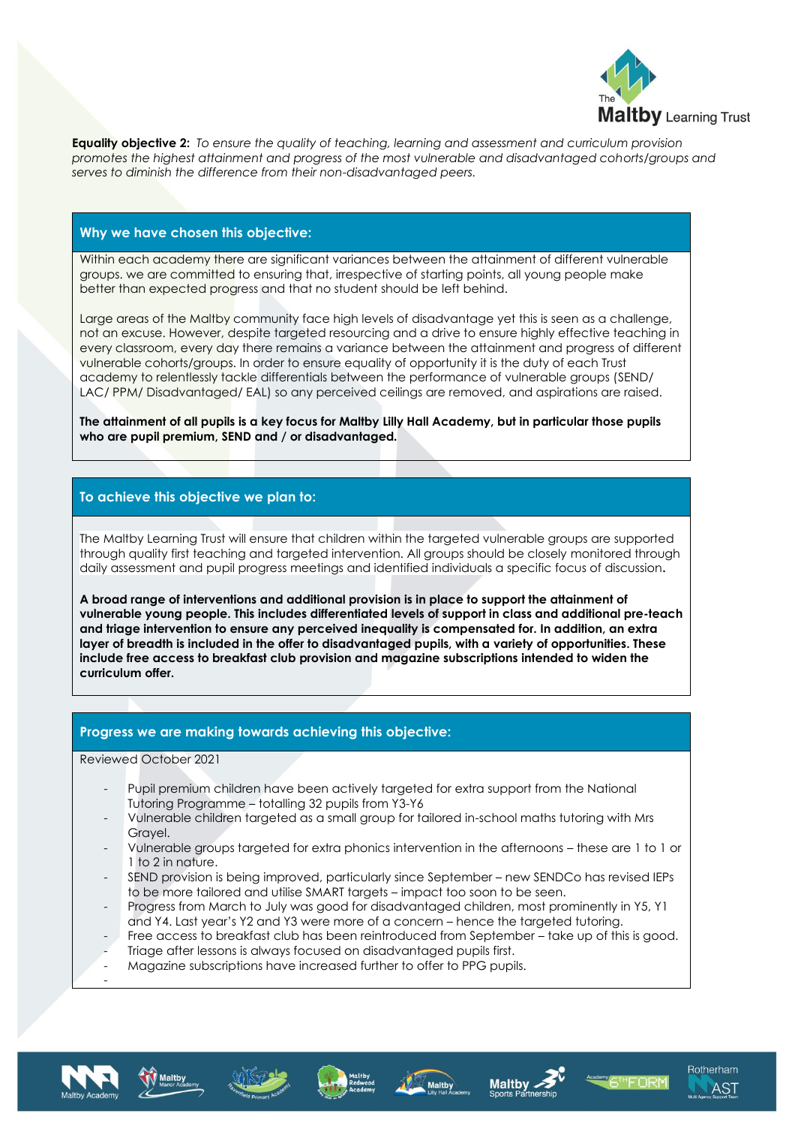

**Equality objective 2:** *To ensure the quality of teaching, learning and assessment and curriculum provision promotes the highest attainment and progress of the most vulnerable and disadvantaged cohorts/groups and serves to diminish the difference from their non-disadvantaged peers.*

## **Why we have chosen this objective:**

Within each academy there are significant variances between the attainment of different vulnerable groups. we are committed to ensuring that, irrespective of starting points, all young people make better than expected progress and that no student should be left behind.

Large areas of the Maltby community face high levels of disadvantage yet this is seen as a challenge, not an excuse. However, despite targeted resourcing and a drive to ensure highly effective teaching in every classroom, every day there remains a variance between the attainment and progress of different vulnerable cohorts/groups. In order to ensure equality of opportunity it is the duty of each Trust academy to relentlessly tackle differentials between the performance of vulnerable groups (SEND/ LAC/ PPM/ Disadvantaged/ EAL) so any perceived ceilings are removed, and aspirations are raised.

**The attainment of all pupils is a key focus for Maltby Lilly Hall Academy, but in particular those pupils who are pupil premium, SEND and / or disadvantaged***.*

#### **To achieve this objective we plan to:**

The Maltby Learning Trust will ensure that children within the targeted vulnerable groups are supported through quality first teaching and targeted intervention. All groups should be closely monitored through daily assessment and pupil progress meetings and identified individuals a specific focus of discussion**.**

**A broad range of interventions and additional provision is in place to support the attainment of vulnerable young people. This includes differentiated levels of support in class and additional pre-teach and triage intervention to ensure any perceived inequality is compensated for. In addition, an extra layer of breadth is included in the offer to disadvantaged pupils, with a variety of opportunities. These include free access to breakfast club provision and magazine subscriptions intended to widen the curriculum offer.**

#### **Progress we are making towards achieving this objective:**

Reviewed October 2021

- Pupil premium children have been actively targeted for extra support from the National Tutoring Programme – totalling 32 pupils from Y3-Y6
- Vulnerable children targeted as a small group for tailored in-school maths tutoring with Mrs Grayel.
- Vulnerable groups targeted for extra phonics intervention in the afternoons these are 1 to 1 or 1 to 2 in nature.
- SEND provision is being improved, particularly since September new SENDCo has revised IEPs to be more tailored and utilise SMART targets – impact too soon to be seen.
- Progress from March to July was good for disadvantaged children, most prominently in Y5, Y1 and Y4. Last year's Y2 and Y3 were more of a concern – hence the targeted tutoring.
- Free access to breakfast club has been reintroduced from September take up of this is good. Triage after lessons is always focused on disadvantaged pupils first.
- Magazine subscriptions have increased further to offer to PPG pupils.